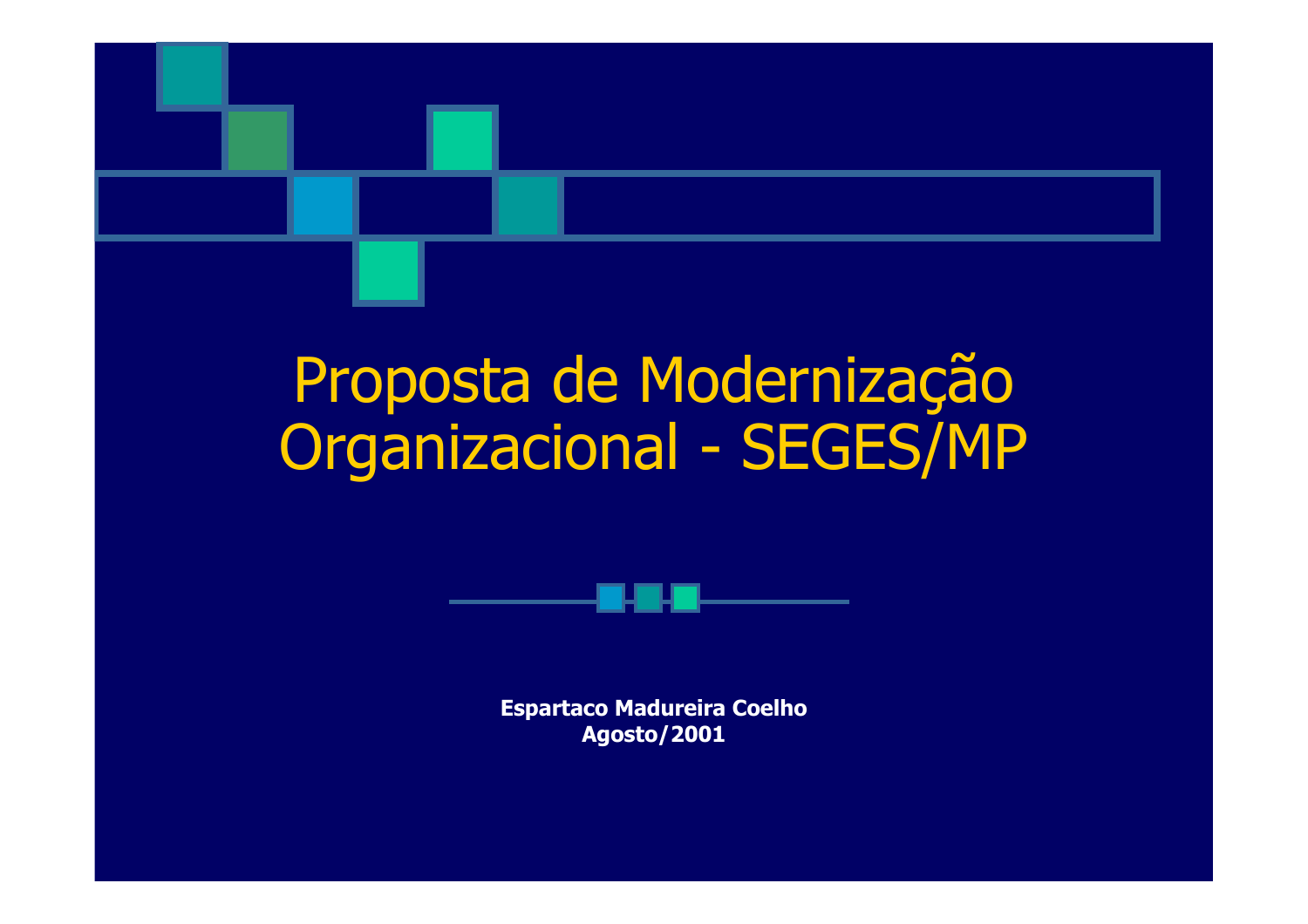

# Proposta de Modernização Organizacional - SEGES/MP



**Espartaco Madureira Coelho Agosto/2001**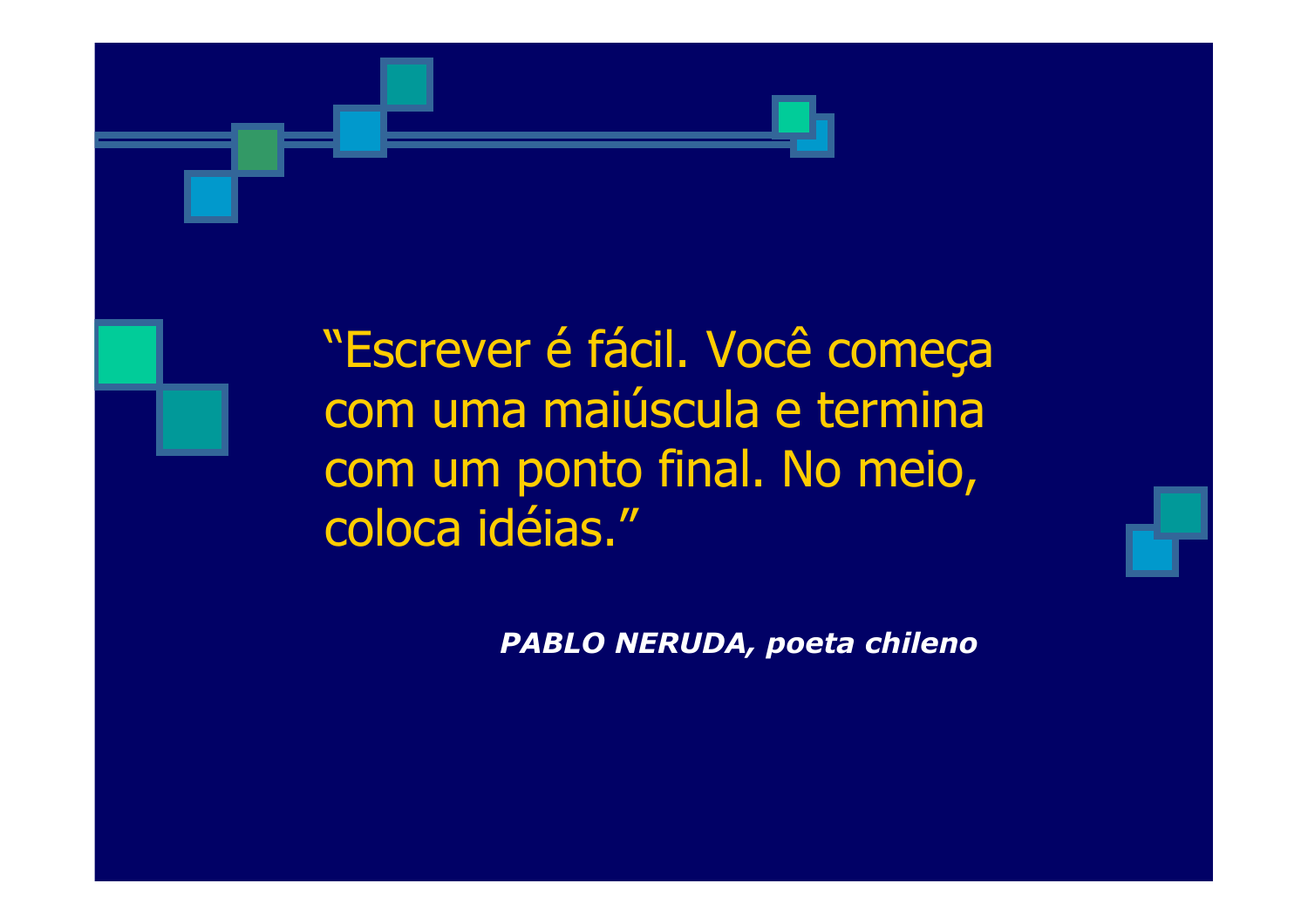

"Escrever é fácil. Você começa com uma majúscula e termina com um ponto final. No meio, coloca idéias."

PABLO NERUDA, poeta chileno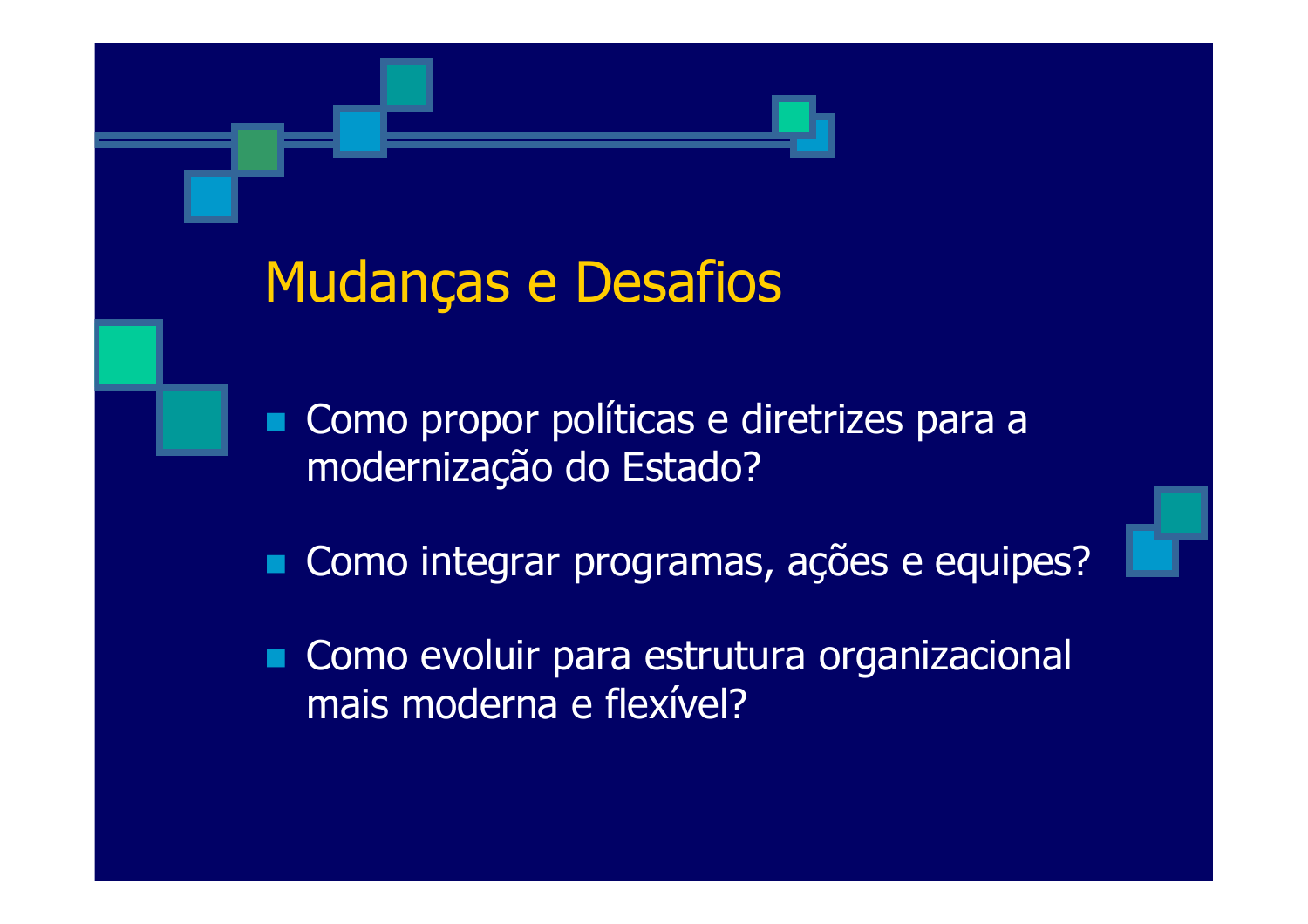### Mudanças e Desafios

• Como propor políticas e diretrizes para a modernização do Estado?

Como integrar programas, ações e equipes?

Como evoluir para estrutura organizacional mais moderna e flexível?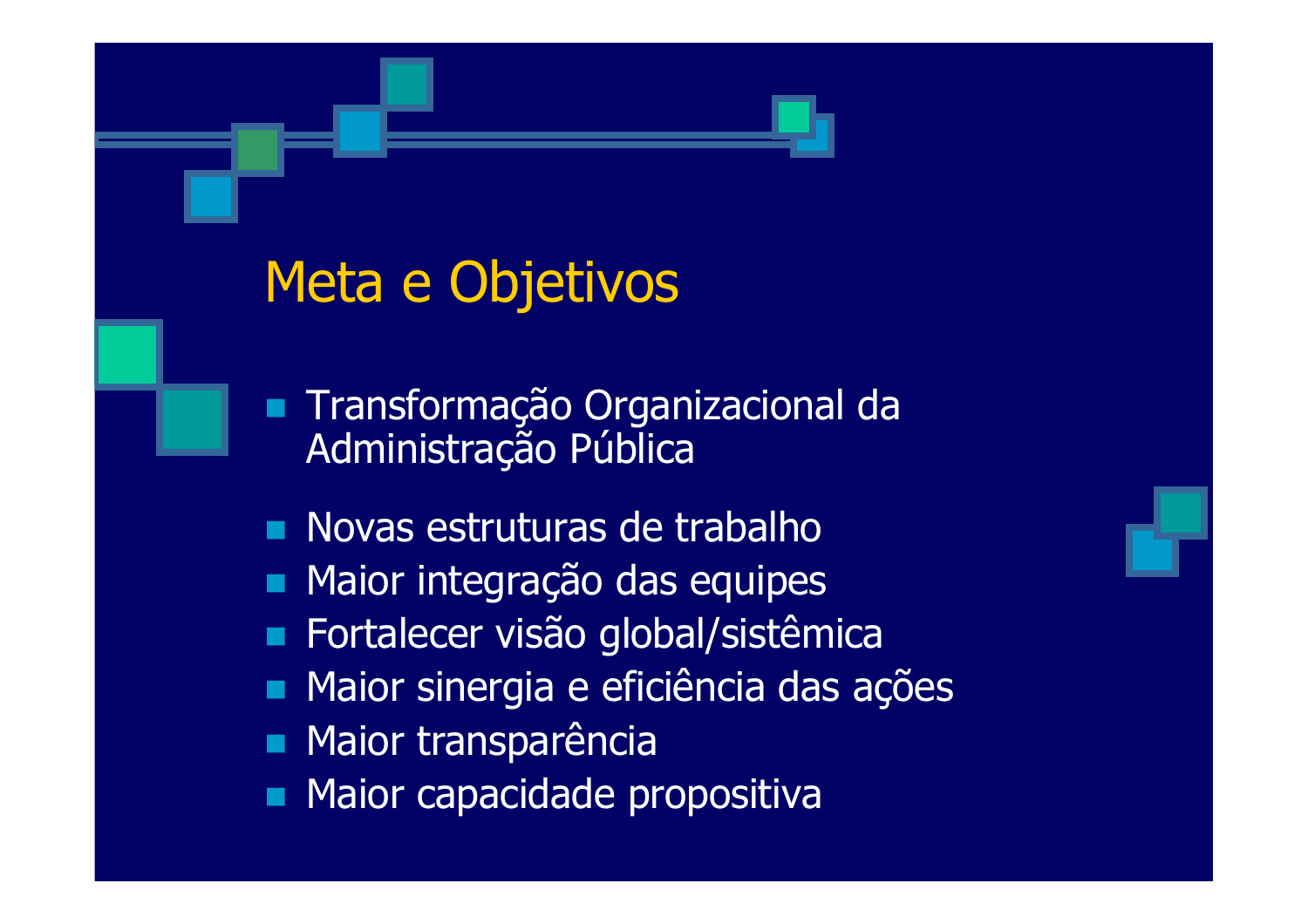### Meta e Objetivos

- Transformação Organizacional da  $\blacksquare$ Administração Pública
- Novas estruturas de trabalho
- Maior integração das equipes  $\blacksquare$
- Fortalecer visão global/sistêmica
- Maior sinergia e eficiência das ações
- **Maior transparência**
- Maior capacidade propositiva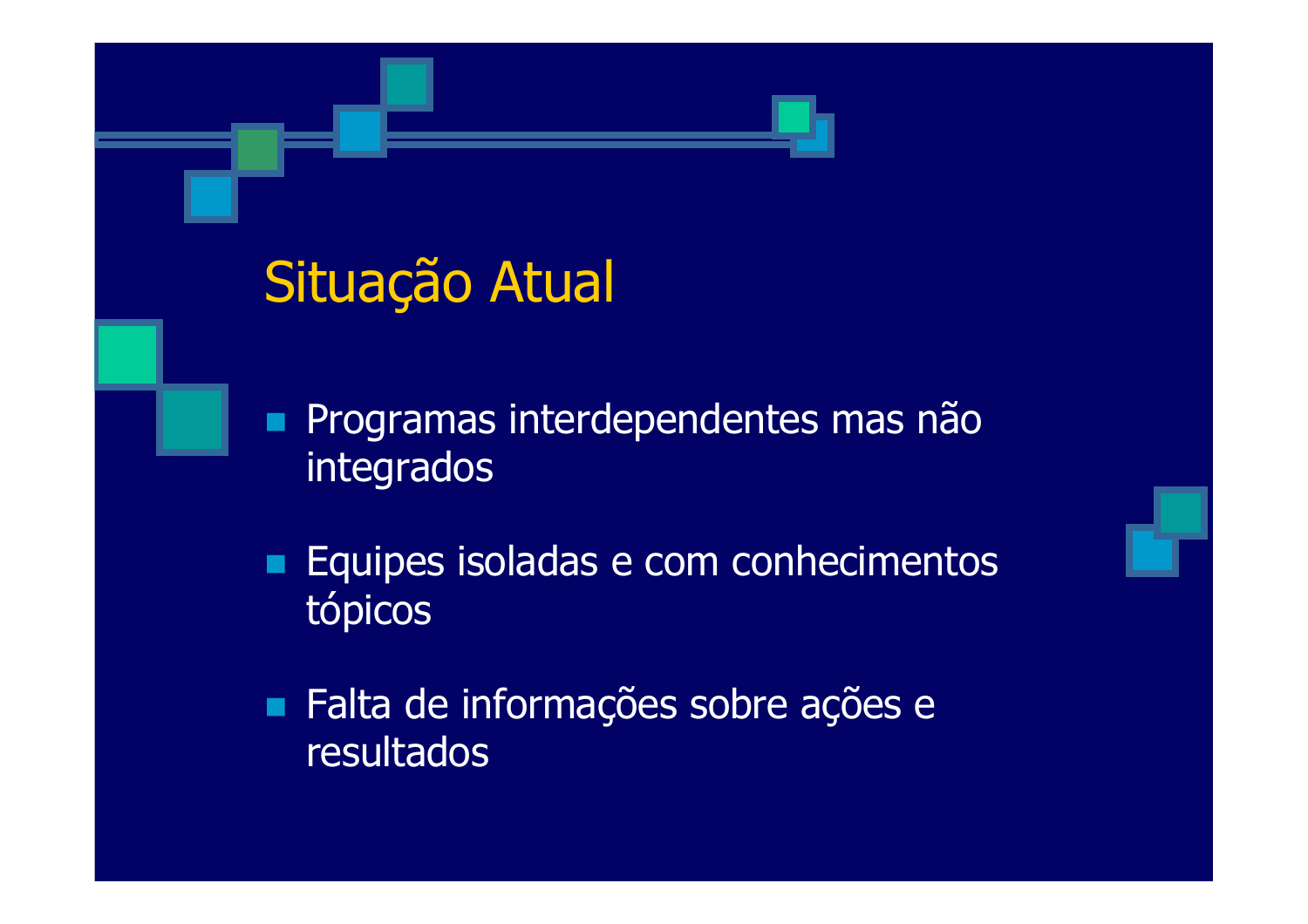### Situação Atual

Programas interdependentes mas não integrados

Equipes isoladas e com conhecimentos tópicos

Falta de informações sobre ações e resultados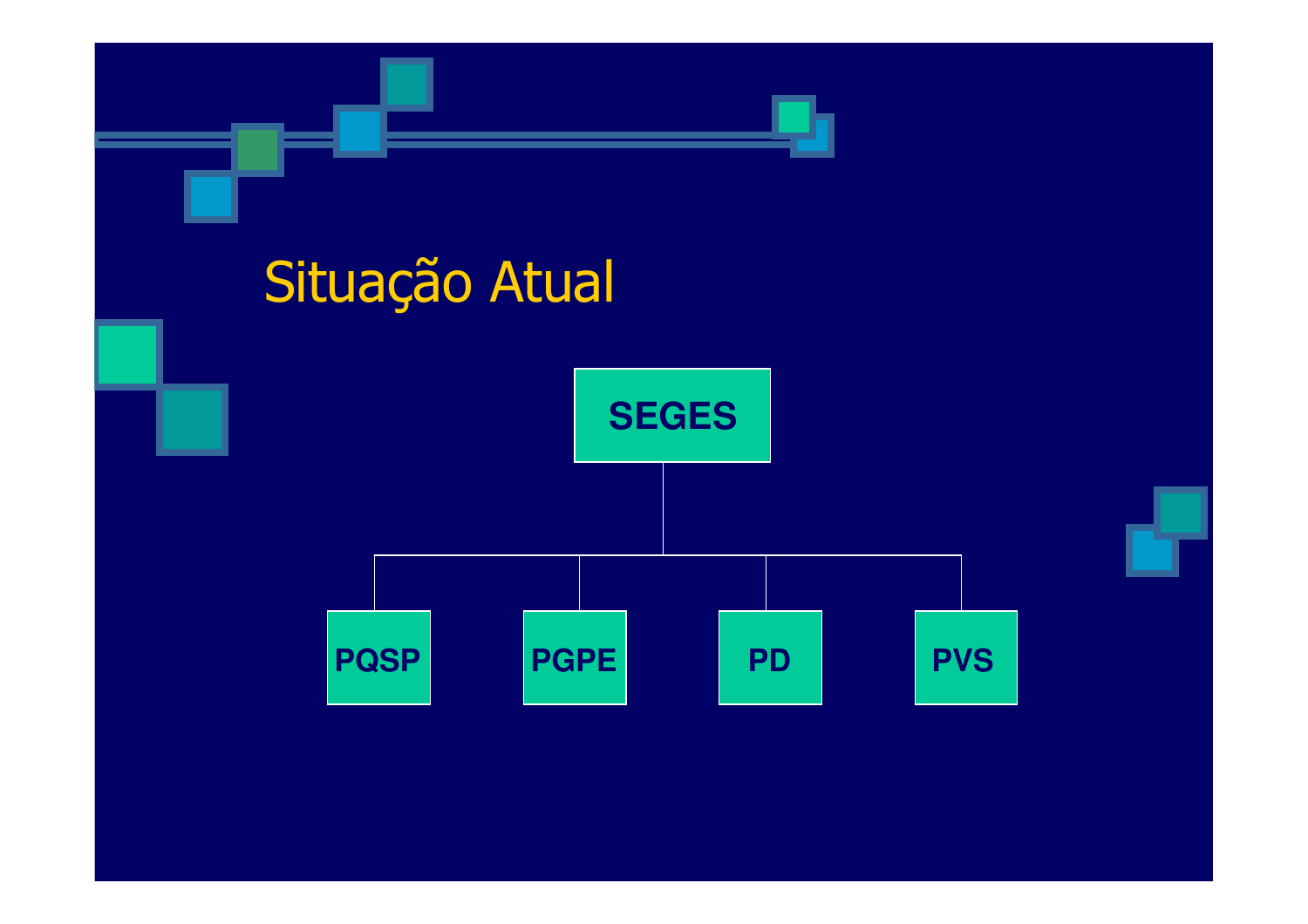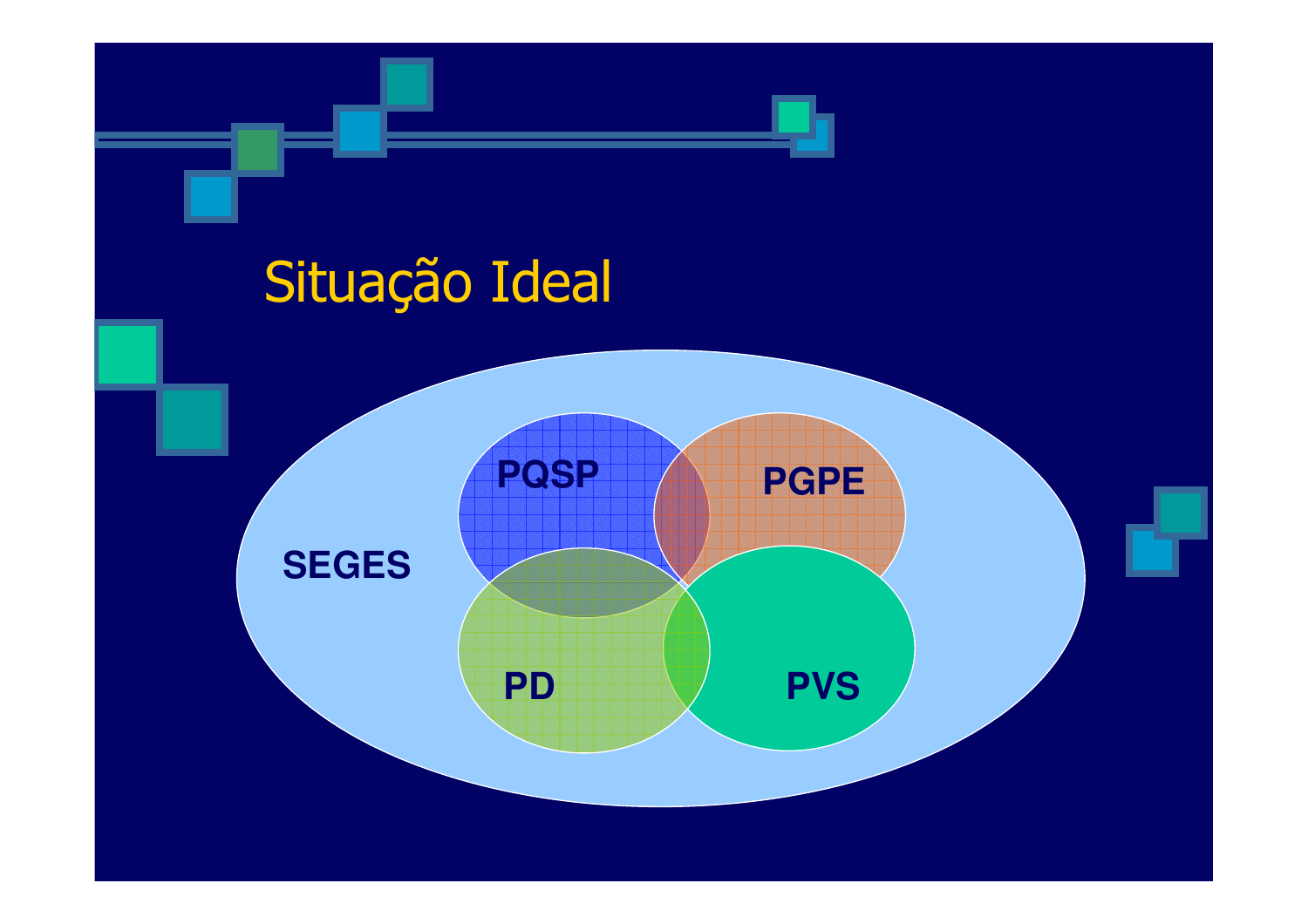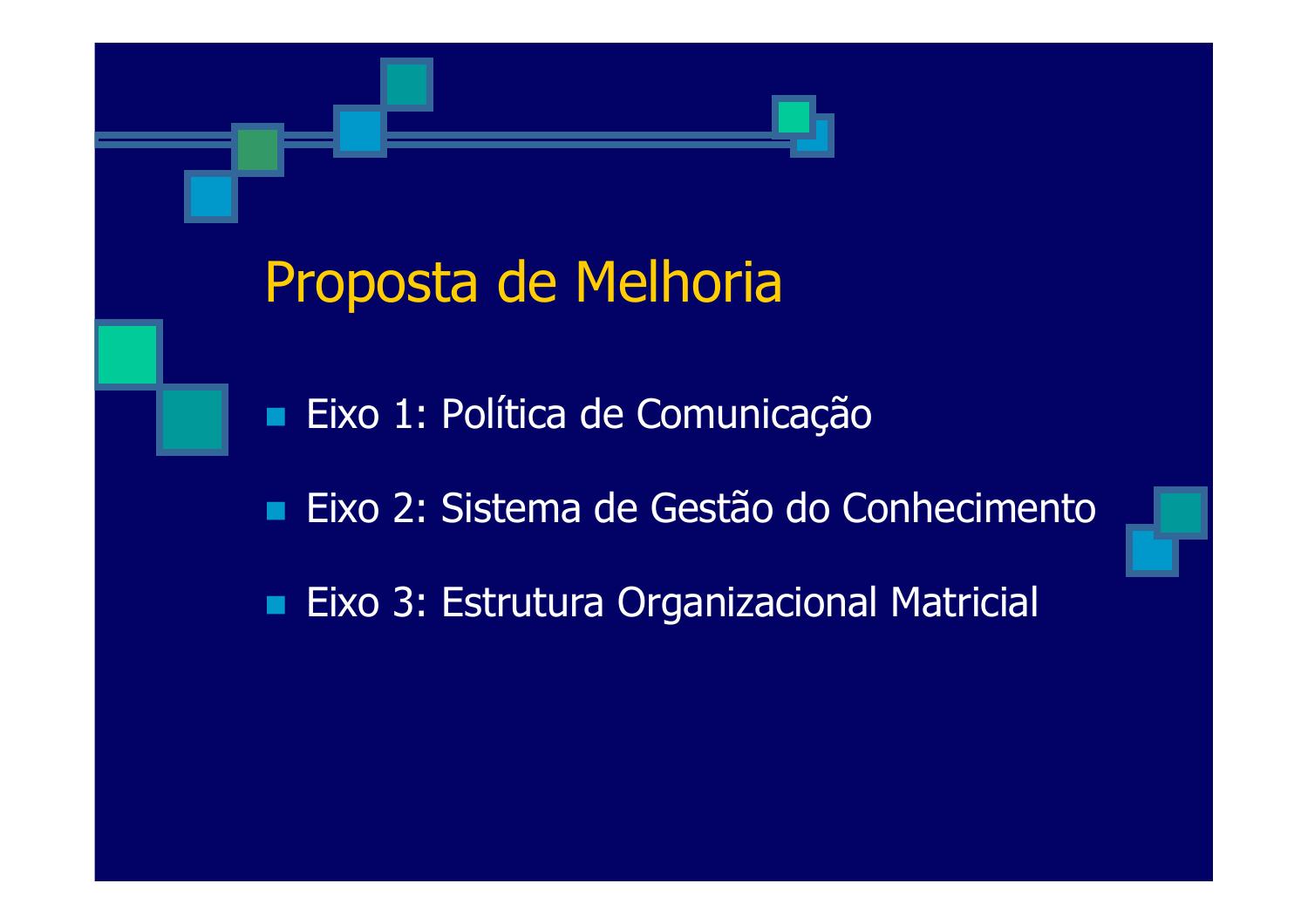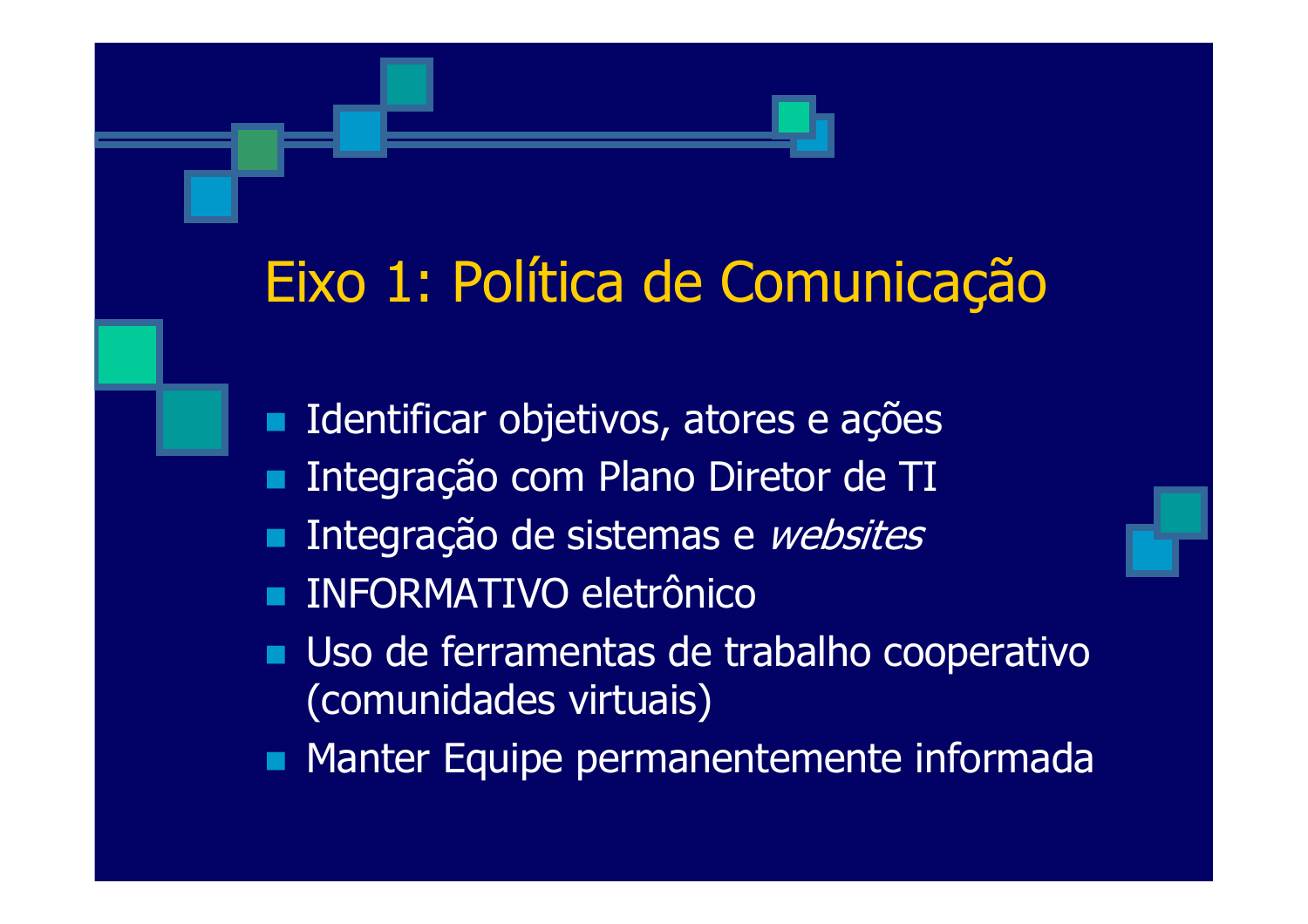## Eixo 1: Política de Comunicação

Identificar objetivos, atores e ações **D** 

- Integração com Plano Diretor de TI  $\blacksquare$
- Integração de sistemas e websites
- **INFORMATIVO eletrônico**
- Uso de ferramentas de trabalho cooperativo (comunidades virtuais)

Manter Equipe permanentemente informada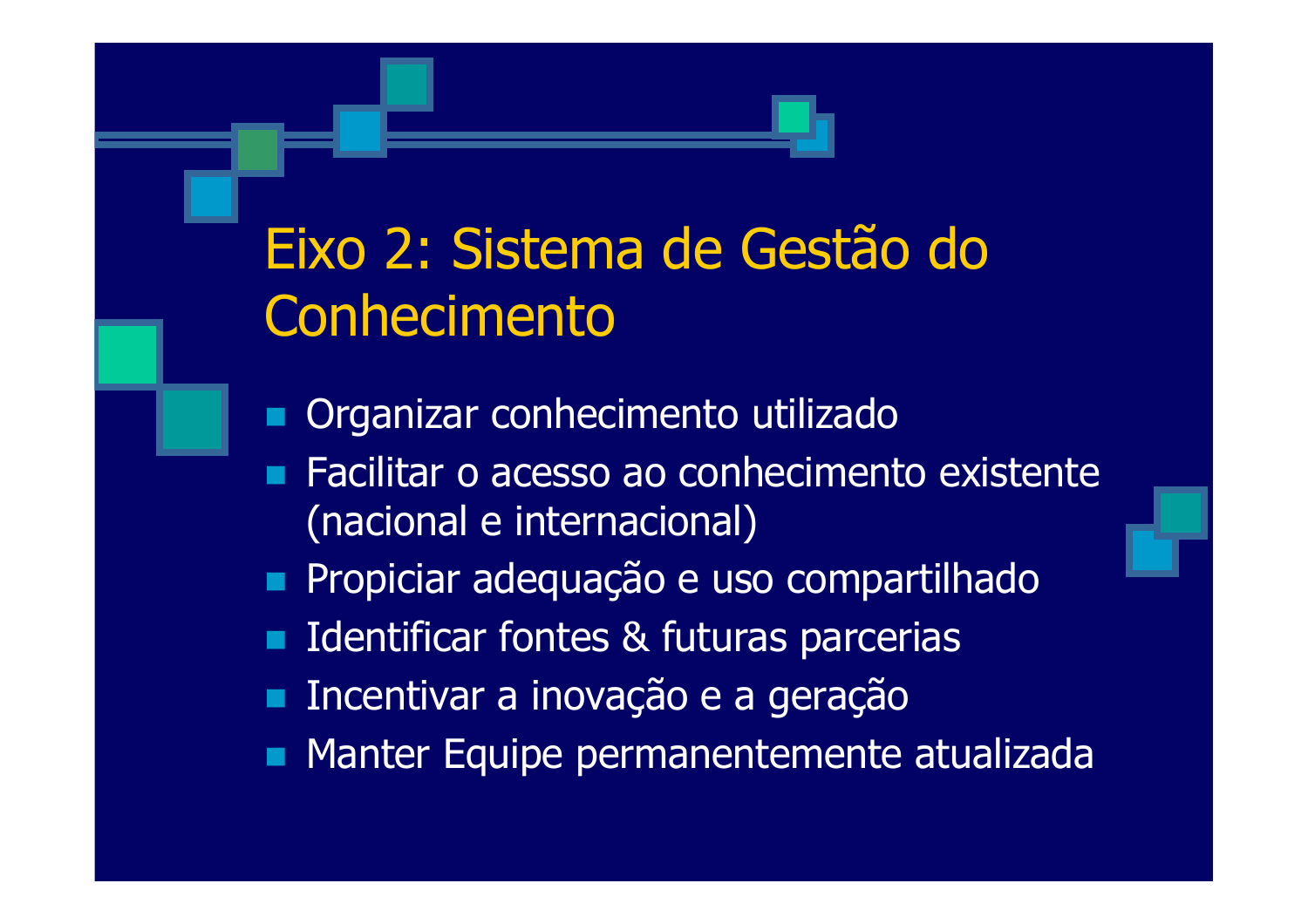# Eixo 2: Sistema de Gestão do Conhecimento

Organizar conhecimento utilizado

- Facilitar o acesso ao conhecimento existente (nacional e internacional)
- Propiciar adequação e uso compartilhado
- Identificar fontes & futuras parcerias
- Incentivar a inovação e a geração  $\blacksquare$
- Manter Equipe permanentemente atualizada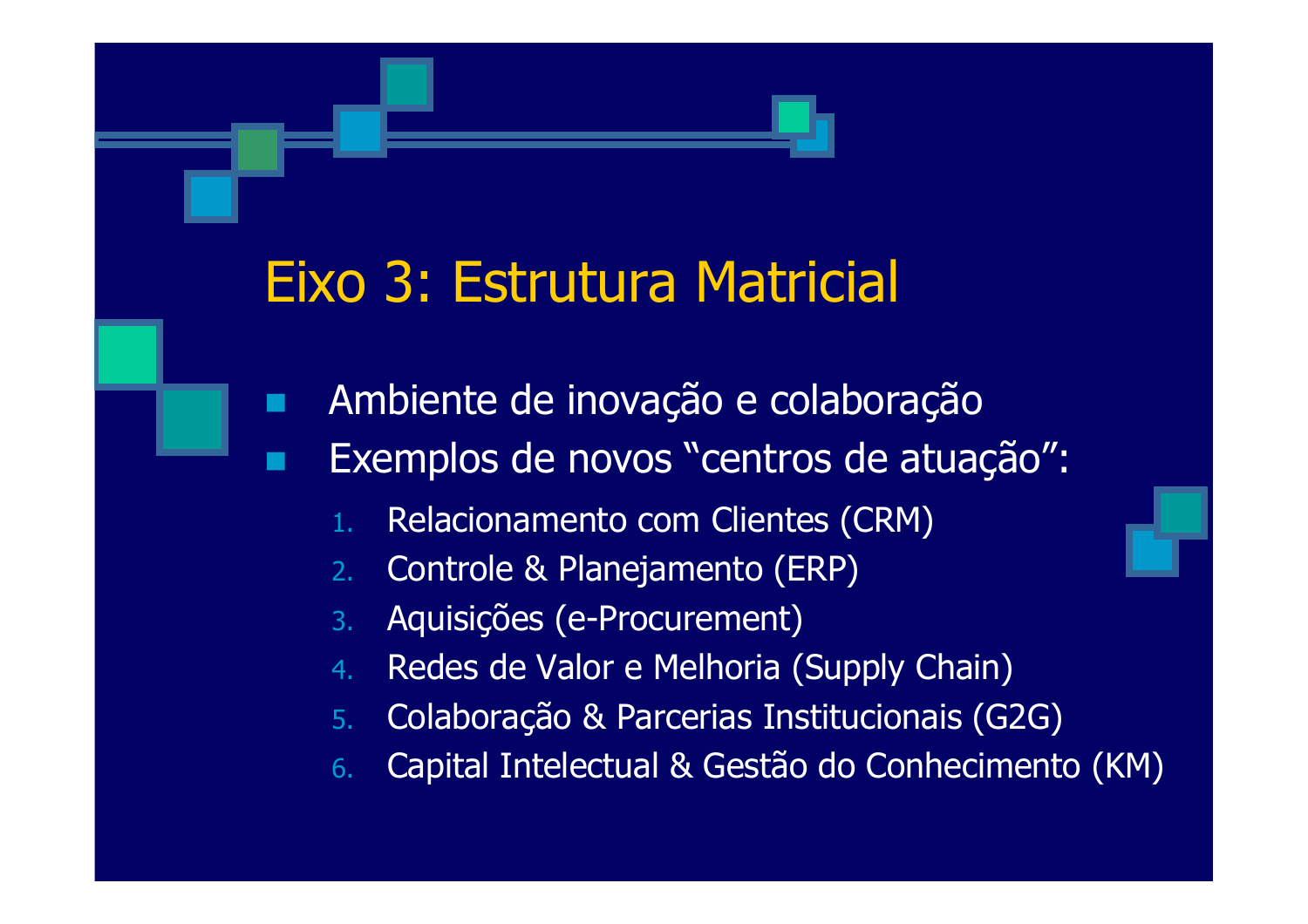### Eixo 3: Estrutura Matricial

- Ambiente de inovação e colaboração  $\blacksquare$ 
	- Exemplos de novos "centros de atuação":
		- Relacionamento com Clientes (CRM)
		- Controle & Planejamento (ERP)  $2.$
		- Aquisições (e-Procurement)  $3.$
		- Redes de Valor e Melhoria (Supply Chain)  $4<sub>1</sub>$
		- Colaboração & Parcerias Institucionais (G2G)  $5<sub>1</sub>$
		- Capital Intelectual & Gestão do Conhecimento (KM)  $6<sub>1</sub>$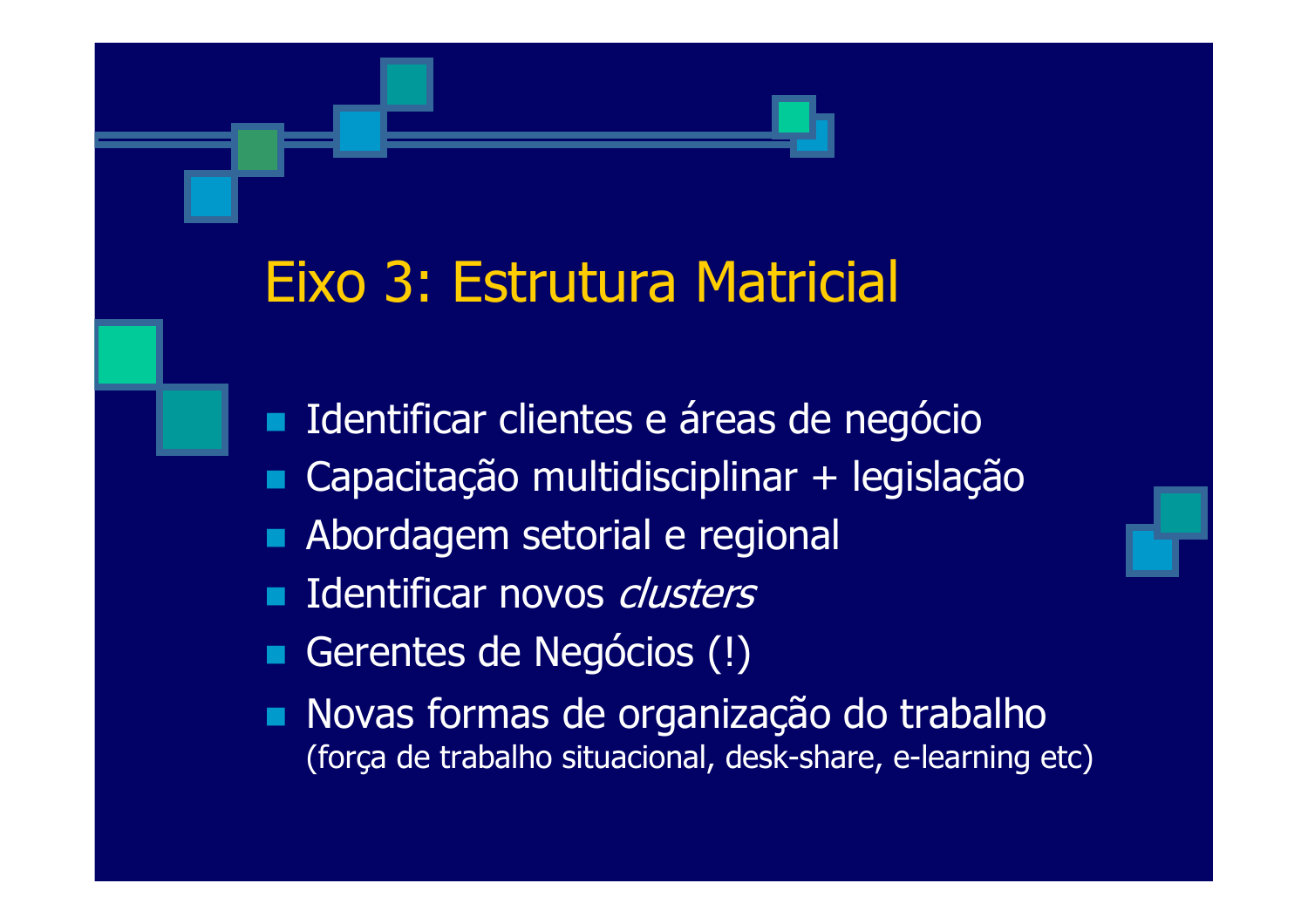#### Eixo 3: Estrutura Matricial

- Identificar clientes e áreas de negócio  $\blacksquare$
- Capacitação multidisciplinar + legislação
- Abordagem setorial e regional
- **Identificar novos clusters**
- Gerentes de Negócios (!)
- Novas formas de organização do trabalho (força de trabalho situacional, desk-share, e-learning etc)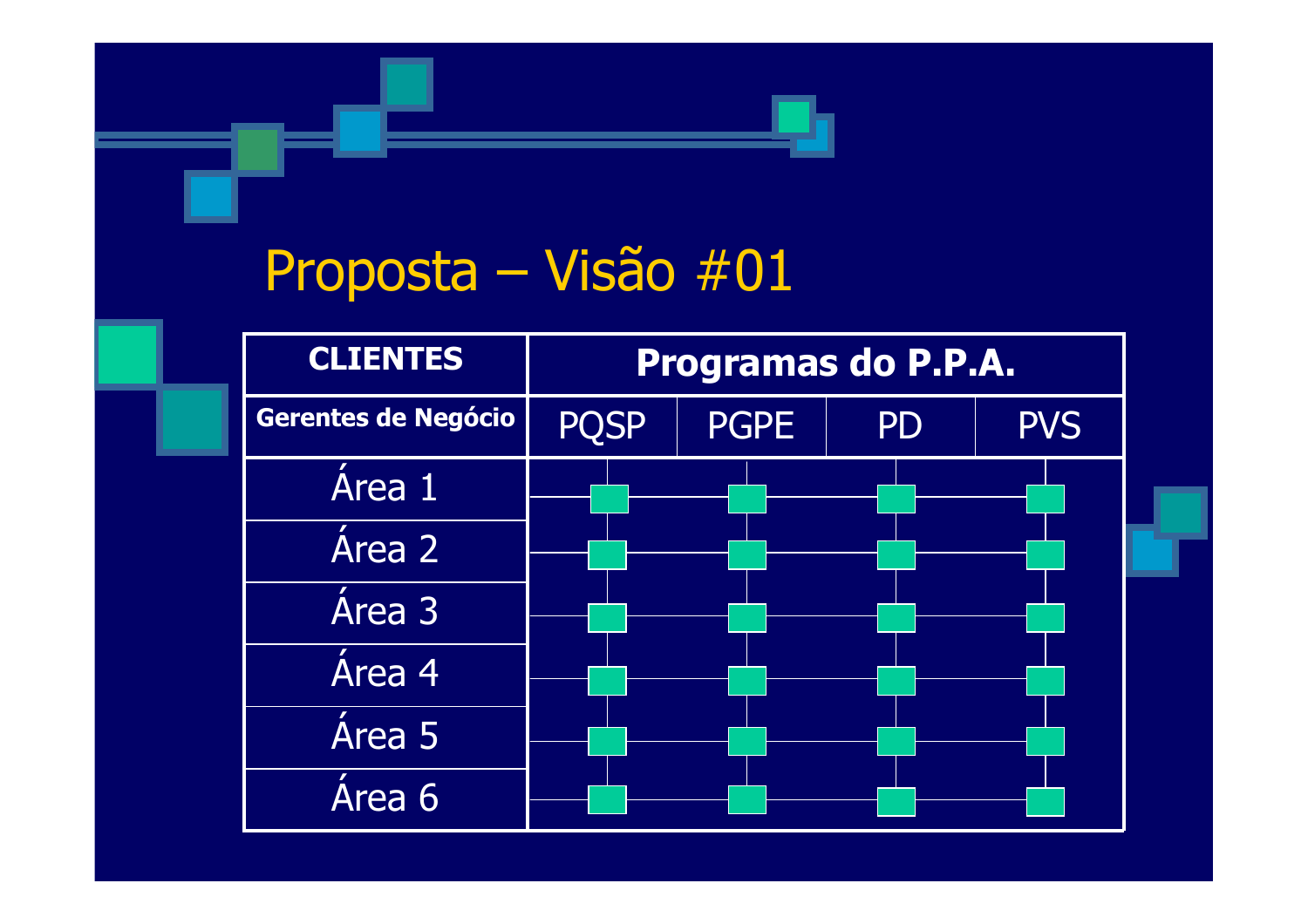#### Proposta – Visão #01

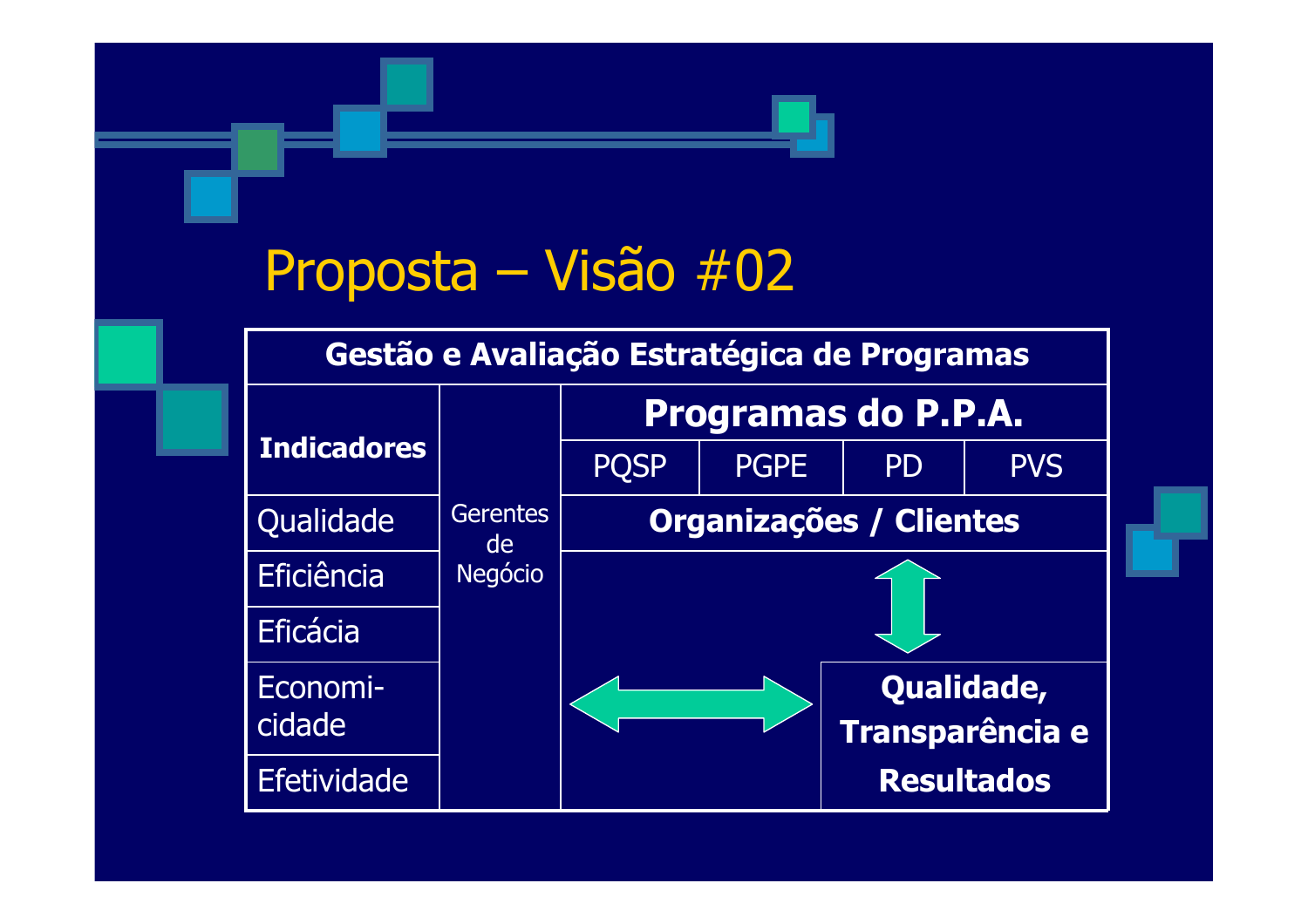#### Proposta – Visão #02

#### Gestão e Avaliação Estratégica de Programas

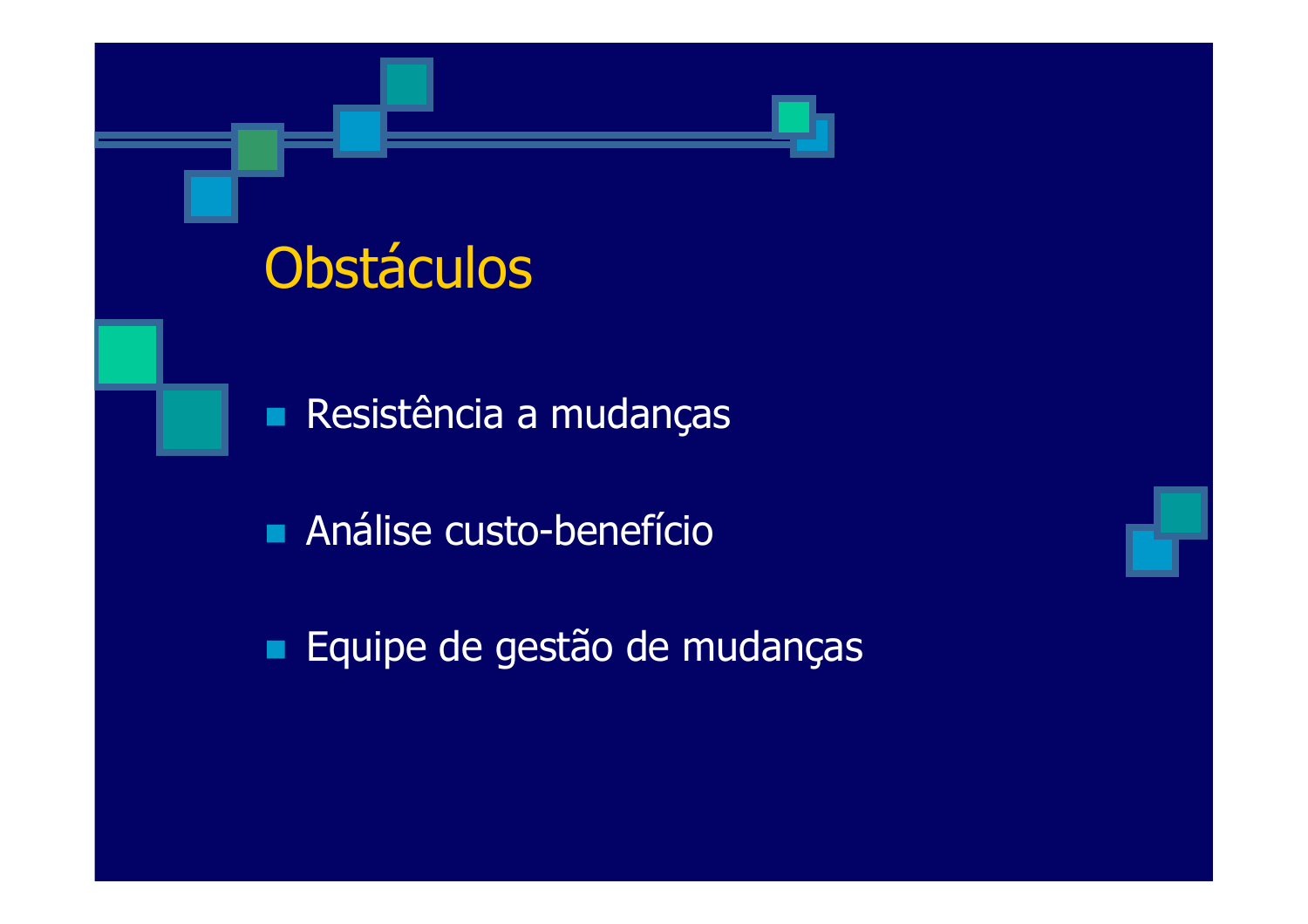